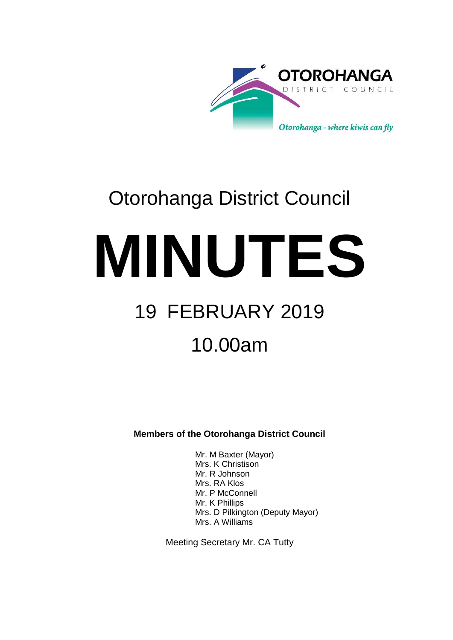

# Otorohanga District Council

**MINUTES** 19 FEBRUARY 2019

# 10.00am

**Members of the Otorohanga District Council**

Mr. M Baxter (Mayor) Mrs. K Christison Mr. R Johnson Mrs. RA Klos Mr. P McConnell Mr. K Phillips Mrs. D Pilkington (Deputy Mayor) Mrs. A Williams

Meeting Secretary Mr. CA Tutty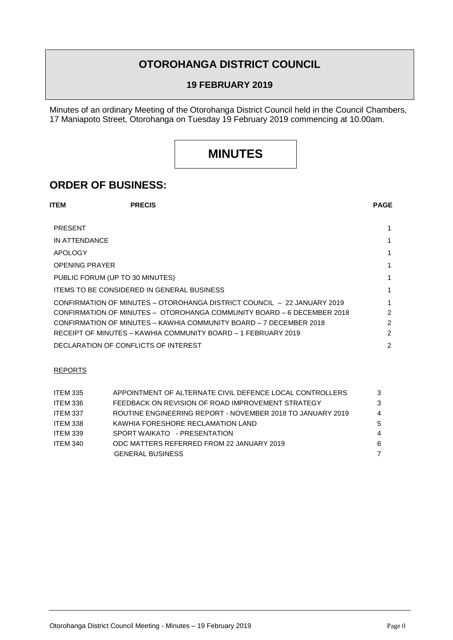## **OTOROHANGA DISTRICT COUNCIL**

#### **19 FEBRUARY 2019**

Minutes of an ordinary Meeting of the Otorohanga District Council held in the Council Chambers, 17 Maniapoto Street, Otorohanga on Tuesday 19 February 2019 commencing at 10.00am.

# **MINUTES**

### **ORDER OF BUSINESS:**

| <b>ITEM</b>                     | <b>PRECIS</b>                                                 |                                                                         | <b>PAGE</b>    |
|---------------------------------|---------------------------------------------------------------|-------------------------------------------------------------------------|----------------|
| <b>PRESENT</b>                  |                                                               |                                                                         |                |
| IN ATTENDANCE                   |                                                               |                                                                         |                |
| <b>APOLOGY</b>                  |                                                               |                                                                         |                |
| <b>OPENING PRAYER</b>           |                                                               |                                                                         |                |
| PUBLIC FORUM (UP TO 30 MINUTES) |                                                               |                                                                         |                |
|                                 | <b>ITEMS TO BE CONSIDERED IN GENERAL BUSINESS</b>             |                                                                         |                |
|                                 |                                                               | CONFIRMATION OF MINUTES - OTOROHANGA DISTRICT COUNCIL - 22 JANUARY 2019 |                |
|                                 |                                                               | CONFIRMATION OF MINUTES - OTOROHANGA COMMUNITY BOARD - 6 DECEMBER 2018  | 2              |
|                                 |                                                               | CONFIRMATION OF MINUTES - KAWHIA COMMUNITY BOARD - 7 DECEMBER 2018      | $\mathfrak{p}$ |
|                                 | RECEIPT OF MINUTES – KAWHIA COMMUNITY BOARD – 1 FEBRUARY 2019 |                                                                         | 2              |
|                                 | DECLARATION OF CONFLICTS OF INTEREST                          |                                                                         | 2              |

#### REPORTS

| <b>ITEM 335</b> | APPOINTMENT OF ALTERNATE CIVIL DEFENCE LOCAL CONTROLLERS   | 3 |
|-----------------|------------------------------------------------------------|---|
| ITEM 336        | FEEDBACK ON REVISION OF ROAD IMPROVEMENT STRATEGY          | 3 |
| ITEM 337        | ROUTINE ENGINEERING REPORT - NOVEMBER 2018 TO JANUARY 2019 | 4 |
| ITEM 338        | KAWHIA FORESHORE RECLAMATION LAND                          | 5 |
| <b>ITEM 339</b> | SPORT WAIKATO - PRESENTATION                               | 4 |
| <b>ITEM 340</b> | ODC MATTERS REFERRED FROM 22 JANUARY 2019                  | 6 |
|                 | <b>GENERAL BUSINESS</b>                                    |   |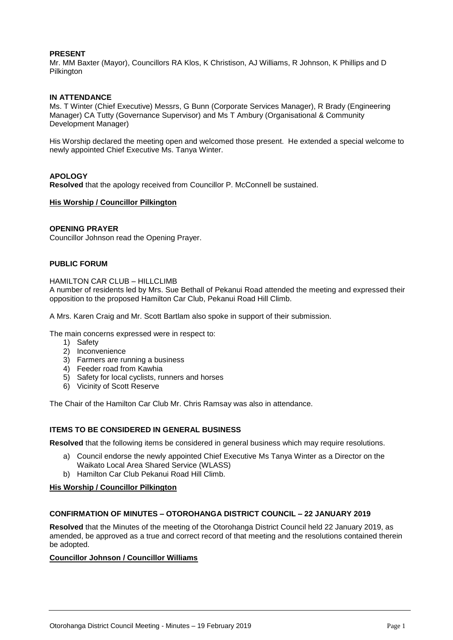#### **PRESENT**

Mr. MM Baxter (Mayor), Councillors RA Klos, K Christison, AJ Williams, R Johnson, K Phillips and D Pilkington

#### **IN ATTENDANCE**

Ms. T Winter (Chief Executive) Messrs, G Bunn (Corporate Services Manager), R Brady (Engineering Manager) CA Tutty (Governance Supervisor) and Ms T Ambury (Organisational & Community Development Manager)

His Worship declared the meeting open and welcomed those present. He extended a special welcome to newly appointed Chief Executive Ms. Tanya Winter.

#### **APOLOGY**

**Resolved** that the apology received from Councillor P. McConnell be sustained.

#### **His Worship / Councillor Pilkington**

#### **OPENING PRAYER**

Councillor Johnson read the Opening Prayer.

#### **PUBLIC FORUM**

#### HAMILTON CAR CLUB – HILLCLIMB

A number of residents led by Mrs. Sue Bethall of Pekanui Road attended the meeting and expressed their opposition to the proposed Hamilton Car Club, Pekanui Road Hill Climb.

A Mrs. Karen Craig and Mr. Scott Bartlam also spoke in support of their submission.

The main concerns expressed were in respect to:

- 1) Safety
- 2) Inconvenience
- 3) Farmers are running a business
- 4) Feeder road from Kawhia
- 5) Safety for local cyclists, runners and horses
- 6) Vicinity of Scott Reserve

The Chair of the Hamilton Car Club Mr. Chris Ramsay was also in attendance.

#### **ITEMS TO BE CONSIDERED IN GENERAL BUSINESS**

**Resolved** that the following items be considered in general business which may require resolutions.

- a) Council endorse the newly appointed Chief Executive Ms Tanya Winter as a Director on the Waikato Local Area Shared Service (WLASS)
- b) Hamilton Car Club Pekanui Road Hill Climb.

#### **His Worship / Councillor Pilkington**

#### **CONFIRMATION OF MINUTES – OTOROHANGA DISTRICT COUNCIL – 22 JANUARY 2019**

**Resolved** that the Minutes of the meeting of the Otorohanga District Council held 22 January 2019, as amended, be approved as a true and correct record of that meeting and the resolutions contained therein be adopted.

#### **Councillor Johnson / Councillor Williams**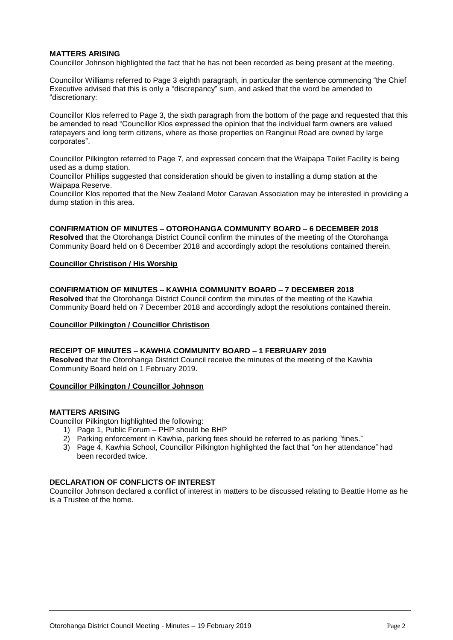#### **MATTERS ARISING**

Councillor Johnson highlighted the fact that he has not been recorded as being present at the meeting.

Councillor Williams referred to Page 3 eighth paragraph, in particular the sentence commencing "the Chief Executive advised that this is only a "discrepancy" sum, and asked that the word be amended to "discretionary:

Councillor Klos referred to Page 3, the sixth paragraph from the bottom of the page and requested that this be amended to read "Councillor Klos expressed the opinion that the individual farm owners are valued ratepayers and long term citizens, where as those properties on Ranginui Road are owned by large corporates".

Councillor Pilkington referred to Page 7, and expressed concern that the Waipapa Toilet Facility is being used as a dump station.

Councillor Phillips suggested that consideration should be given to installing a dump station at the Waipapa Reserve.

Councillor Klos reported that the New Zealand Motor Caravan Association may be interested in providing a dump station in this area.

#### **CONFIRMATION OF MINUTES – OTOROHANGA COMMUNITY BOARD – 6 DECEMBER 2018**

**Resolved** that the Otorohanga District Council confirm the minutes of the meeting of the Otorohanga Community Board held on 6 December 2018 and accordingly adopt the resolutions contained therein.

#### **Councillor Christison / His Worship**

#### **CONFIRMATION OF MINUTES – KAWHIA COMMUNITY BOARD – 7 DECEMBER 2018**

**Resolved** that the Otorohanga District Council confirm the minutes of the meeting of the Kawhia Community Board held on 7 December 2018 and accordingly adopt the resolutions contained therein.

#### **Councillor Pilkington / Councillor Christison**

#### **RECEIPT OF MINUTES – KAWHIA COMMUNITY BOARD – 1 FEBRUARY 2019**

**Resolved** that the Otorohanga District Council receive the minutes of the meeting of the Kawhia Community Board held on 1 February 2019.

#### **Councillor Pilkington / Councillor Johnson**

#### **MATTERS ARISING**

Councillor Pilkington highlighted the following:

- 1) Page 1, Public Forum PHP should be BHP
- 2) Parking enforcement in Kawhia, parking fees should be referred to as parking "fines."
- 3) Page 4, Kawhia School, Councillor Pilkington highlighted the fact that "on her attendance" had been recorded twice.

#### **DECLARATION OF CONFLICTS OF INTEREST**

Councillor Johnson declared a conflict of interest in matters to be discussed relating to Beattie Home as he is a Trustee of the home.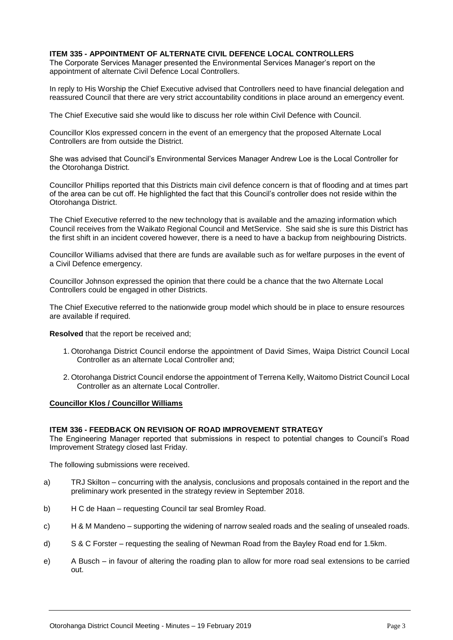#### **ITEM 335 - APPOINTMENT OF ALTERNATE CIVIL DEFENCE LOCAL CONTROLLERS**

The Corporate Services Manager presented the Environmental Services Manager's report on the appointment of alternate Civil Defence Local Controllers.

In reply to His Worship the Chief Executive advised that Controllers need to have financial delegation and reassured Council that there are very strict accountability conditions in place around an emergency event.

The Chief Executive said she would like to discuss her role within Civil Defence with Council.

Councillor Klos expressed concern in the event of an emergency that the proposed Alternate Local Controllers are from outside the District.

She was advised that Council's Environmental Services Manager Andrew Loe is the Local Controller for the Otorohanga District.

Councillor Phillips reported that this Districts main civil defence concern is that of flooding and at times part of the area can be cut off. He highlighted the fact that this Council's controller does not reside within the Otorohanga District.

The Chief Executive referred to the new technology that is available and the amazing information which Council receives from the Waikato Regional Council and MetService. She said she is sure this District has the first shift in an incident covered however, there is a need to have a backup from neighbouring Districts.

Councillor Williams advised that there are funds are available such as for welfare purposes in the event of a Civil Defence emergency.

Councillor Johnson expressed the opinion that there could be a chance that the two Alternate Local Controllers could be engaged in other Districts.

The Chief Executive referred to the nationwide group model which should be in place to ensure resources are available if required.

**Resolved** that the report be received and;

- 1. Otorohanga District Council endorse the appointment of David Simes, Waipa District Council Local Controller as an alternate Local Controller and;
- 2. Otorohanga District Council endorse the appointment of Terrena Kelly, Waitomo District Council Local Controller as an alternate Local Controller.

#### **Councillor Klos / Councillor Williams**

#### **ITEM 336 - FEEDBACK ON REVISION OF ROAD IMPROVEMENT STRATEGY**

The Engineering Manager reported that submissions in respect to potential changes to Council's Road Improvement Strategy closed last Friday.

The following submissions were received.

- a) TRJ Skilton concurring with the analysis, conclusions and proposals contained in the report and the preliminary work presented in the strategy review in September 2018.
- b) H C de Haan requesting Council tar seal Bromley Road.
- c) H & M Mandeno supporting the widening of narrow sealed roads and the sealing of unsealed roads.
- d) S & C Forster requesting the sealing of Newman Road from the Bayley Road end for 1.5km.
- e) A Busch in favour of altering the roading plan to allow for more road seal extensions to be carried out.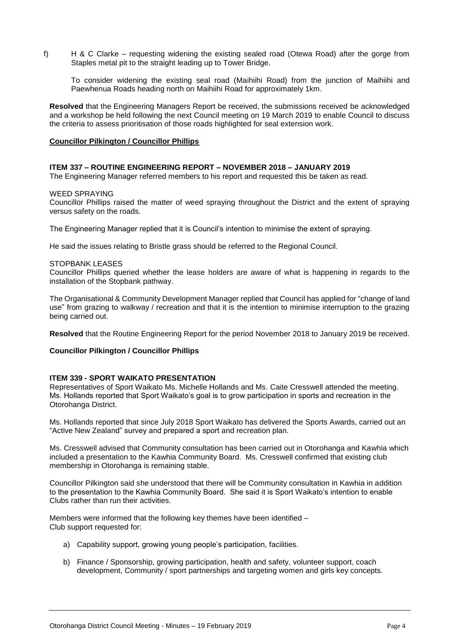f) H & C Clarke – requesting widening the existing sealed road (Otewa Road) after the gorge from Staples metal pit to the straight leading up to Tower Bridge.

To consider widening the existing seal road (Maihiihi Road) from the junction of Maihiihi and Paewhenua Roads heading north on Maihiihi Road for approximately 1km.

**Resolved** that the Engineering Managers Report be received, the submissions received be acknowledged and a workshop be held following the next Council meeting on 19 March 2019 to enable Council to discuss the criteria to assess prioritisation of those roads highlighted for seal extension work.

#### **Councillor Pilkington / Councillor Phillips**

#### **ITEM 337 – ROUTINE ENGINEERING REPORT – NOVEMBER 2018 – JANUARY 2019**

The Engineering Manager referred members to his report and requested this be taken as read.

#### WEED SPRAYING

Councillor Phillips raised the matter of weed spraying throughout the District and the extent of spraying versus safety on the roads.

The Engineering Manager replied that it is Council's intention to minimise the extent of spraying.

He said the issues relating to Bristle grass should be referred to the Regional Council.

#### STOPBANK LEASES

Councillor Phillips queried whether the lease holders are aware of what is happening in regards to the installation of the Stopbank pathway.

The Organisational & Community Development Manager replied that Council has applied for "change of land use" from grazing to walkway / recreation and that it is the intention to minimise interruption to the grazing being carried out.

**Resolved** that the Routine Engineering Report for the period November 2018 to January 2019 be received.

#### **Councillor Pilkington / Councillor Phillips**

#### **ITEM 339 - SPORT WAIKATO PRESENTATION**

Representatives of Sport Waikato Ms. Michelle Hollands and Ms. Caite Cresswell attended the meeting. Ms. Hollands reported that Sport Waikato's goal is to grow participation in sports and recreation in the Otorohanga District.

Ms. Hollands reported that since July 2018 Sport Waikato has delivered the Sports Awards, carried out an "Active New Zealand" survey and prepared a sport and recreation plan.

Ms. Cresswell advised that Community consultation has been carried out in Otorohanga and Kawhia which included a presentation to the Kawhia Community Board. Ms. Cresswell confirmed that existing club membership in Otorohanga is remaining stable.

Councillor Pilkington said she understood that there will be Community consultation in Kawhia in addition to the presentation to the Kawhia Community Board. She said it is Sport Waikato's intention to enable Clubs rather than run their activities.

Members were informed that the following key themes have been identified – Club support requested for:

- a) Capability support, growing young people's participation, facilities.
- b) Finance / Sponsorship, growing participation, health and safety, volunteer support, coach development, Community / sport partnerships and targeting women and girls key concepts.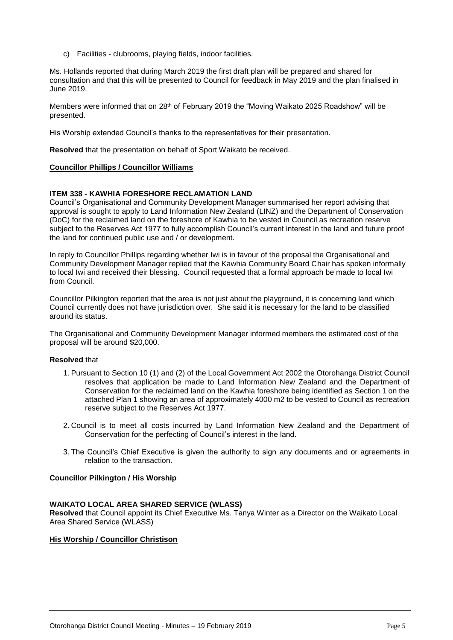c) Facilities - clubrooms, playing fields, indoor facilities.

Ms. Hollands reported that during March 2019 the first draft plan will be prepared and shared for consultation and that this will be presented to Council for feedback in May 2019 and the plan finalised in June 2019.

Members were informed that on 28th of February 2019 the "Moving Waikato 2025 Roadshow" will be presented.

His Worship extended Council's thanks to the representatives for their presentation.

**Resolved** that the presentation on behalf of Sport Waikato be received.

#### **Councillor Phillips / Councillor Williams**

#### **ITEM 338 - KAWHIA FORESHORE RECLAMATION LAND**

Council's Organisational and Community Development Manager summarised her report advising that approval is sought to apply to Land Information New Zealand (LINZ) and the Department of Conservation (DoC) for the reclaimed land on the foreshore of Kawhia to be vested in Council as recreation reserve subject to the Reserves Act 1977 to fully accomplish Council's current interest in the land and future proof the land for continued public use and / or development.

In reply to Councillor Phillips regarding whether Iwi is in favour of the proposal the Organisational and Community Development Manager replied that the Kawhia Community Board Chair has spoken informally to local Iwi and received their blessing. Council requested that a formal approach be made to local Iwi from Council.

Councillor Pilkington reported that the area is not just about the playground, it is concerning land which Council currently does not have jurisdiction over. She said it is necessary for the land to be classified around its status.

The Organisational and Community Development Manager informed members the estimated cost of the proposal will be around \$20,000.

#### **Resolved** that

- 1. Pursuant to Section 10 (1) and (2) of the Local Government Act 2002 the Otorohanga District Council resolves that application be made to Land Information New Zealand and the Department of Conservation for the reclaimed land on the Kawhia foreshore being identified as Section 1 on the attached Plan 1 showing an area of approximately 4000 m2 to be vested to Council as recreation reserve subject to the Reserves Act 1977.
- 2. Council is to meet all costs incurred by Land Information New Zealand and the Department of Conservation for the perfecting of Council's interest in the land.
- 3. The Council's Chief Executive is given the authority to sign any documents and or agreements in relation to the transaction.

#### **Councillor Pilkington / His Worship**

#### **WAIKATO LOCAL AREA SHARED SERVICE (WLASS)**

**Resolved** that Council appoint its Chief Executive Ms. Tanya Winter as a Director on the Waikato Local Area Shared Service (WLASS)

#### **His Worship / Councillor Christison**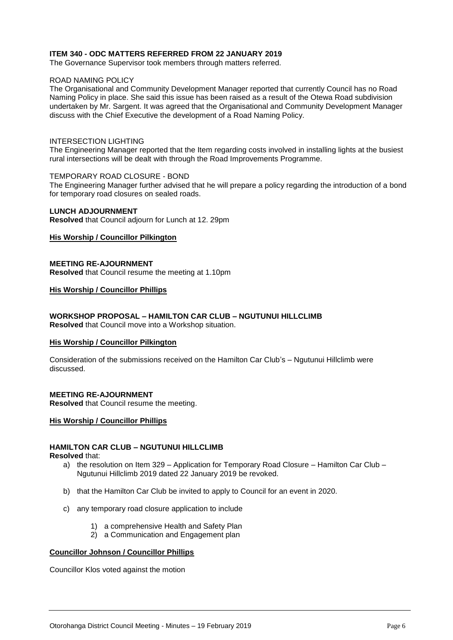#### **ITEM 340 - ODC MATTERS REFERRED FROM 22 JANUARY 2019**

The Governance Supervisor took members through matters referred.

#### ROAD NAMING POLICY

The Organisational and Community Development Manager reported that currently Council has no Road Naming Policy in place. She said this issue has been raised as a result of the Otewa Road subdivision undertaken by Mr. Sargent. It was agreed that the Organisational and Community Development Manager discuss with the Chief Executive the development of a Road Naming Policy.

#### INTERSECTION LIGHTING

The Engineering Manager reported that the Item regarding costs involved in installing lights at the busiest rural intersections will be dealt with through the Road Improvements Programme.

#### TEMPORARY ROAD CLOSURE - BOND

The Engineering Manager further advised that he will prepare a policy regarding the introduction of a bond for temporary road closures on sealed roads.

#### **LUNCH ADJOURNMENT**

**Resolved** that Council adjourn for Lunch at 12. 29pm

#### **His Worship / Councillor Pilkington**

#### **MEETING RE-AJOURNMENT**

**Resolved** that Council resume the meeting at 1.10pm

#### **His Worship / Councillor Phillips**

#### **WORKSHOP PROPOSAL – HAMILTON CAR CLUB – NGUTUNUI HILLCLIMB**

**Resolved** that Council move into a Workshop situation.

#### **His Worship / Councillor Pilkington**

Consideration of the submissions received on the Hamilton Car Club's – Ngutunui Hillclimb were discussed.

#### **MEETING RE-AJOURNMENT**

**Resolved** that Council resume the meeting.

#### **His Worship / Councillor Phillips**

#### **HAMILTON CAR CLUB – NGUTUNUI HILLCLIMB**

**Resolved** that:

- a) the resolution on Item 329 Application for Temporary Road Closure Hamilton Car Club Ngutunui Hillclimb 2019 dated 22 January 2019 be revoked.
- b) that the Hamilton Car Club be invited to apply to Council for an event in 2020.
- c) any temporary road closure application to include
	- 1) a comprehensive Health and Safety Plan
	- 2) a Communication and Engagement plan

#### **Councillor Johnson / Councillor Phillips**

Councillor Klos voted against the motion